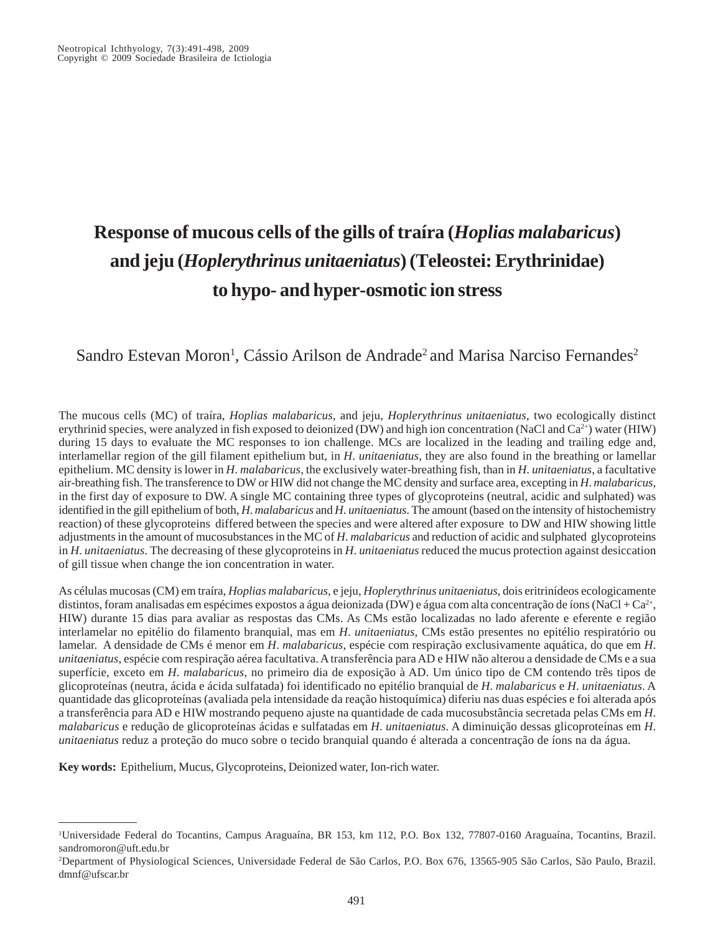# **Response of mucous cells of the gills of traíra (***Hoplias malabaricus***) and jeju (***Hoplerythrinus unitaeniatus***) (Teleostei: Erythrinidae) to hypo- and hyper-osmotic ion stress**

# Sandro Estevan Moron<sup>1</sup>, Cássio Arilson de Andrade<sup>2</sup> and Marisa Narciso Fernandes<sup>2</sup>

The mucous cells (MC) of traíra, *Hoplias malabaricus*, and jeju, *Hoplerythrinus unitaeniatus*, two ecologically distinct erythrinid species, were analyzed in fish exposed to deionized (DW) and high ion concentration (NaCl and  $Ca^{2+}$ ) water (HIW) during 15 days to evaluate the MC responses to ion challenge. MCs are localized in the leading and trailing edge and, interlamellar region of the gill filament epithelium but, in *H*. *unitaeniatus*, they are also found in the breathing or lamellar epithelium. MC density is lower in *H*. *malabaricus*, the exclusively water-breathing fish, than in *H*. *unitaeniatus*, a facultative air-breathing fish. The transference to DW or HIW did not change the MC density and surface area, excepting in *H*. *malabaricus*, in the first day of exposure to DW. A single MC containing three types of glycoproteins (neutral, acidic and sulphated) was identified in the gill epithelium of both, *H*. *malabaricus* and *H*. *unitaeniatus*. The amount (based on the intensity of histochemistry reaction) of these glycoproteins differed between the species and were altered after exposure to DW and HIW showing little adjustments in the amount of mucosubstances in the MC of *H*. *malabaricus* and reduction of acidic and sulphated glycoproteins in *H*. *unitaeniatus*. The decreasing of these glycoproteins in *H*. *unitaeniatus* reduced the mucus protection against desiccation of gill tissue when change the ion concentration in water.

As células mucosas (CM) em traíra, *Hoplias malabaricus*, e jeju, *Hoplerythrinus unitaeniatus*, dois eritrinídeos ecologicamente distintos, foram analisadas em espécimes expostos a água deionizada (DW) e água com alta concentração de íons (NaCl + Ca<sup>2+</sup>, HIW) durante 15 dias para avaliar as respostas das CMs. As CMs estão localizadas no lado aferente e eferente e região interlamelar no epitélio do filamento branquial, mas em *H*. *unitaeniatus*, CMs estão presentes no epitélio respiratório ou lamelar. A densidade de CMs é menor em *H*. *malabaricus*, espécie com respiração exclusivamente aquática, do que em *H*. *unitaeniatus*, espécie com respiração aérea facultativa. A transferência para AD e HIW não alterou a densidade de CMs e a sua superfície, exceto em *H*. *malabaricus*, no primeiro dia de exposição à AD. Um único tipo de CM contendo três tipos de glicoproteínas (neutra, ácida e ácida sulfatada) foi identificado no epitélio branquial de *H*. *malabaricus* e *H*. *unitaeniatus*. A quantidade das glicoproteínas (avaliada pela intensidade da reação histoquímica) diferiu nas duas espécies e foi alterada após a transferência para AD e HIW mostrando pequeno ajuste na quantidade de cada mucosubstância secretada pelas CMs em *H*. *malabaricus* e redução de glicoproteínas ácidas e sulfatadas em *H*. *unitaeniatus*. A diminuição dessas glicoproteínas em *H*. *unitaeniatus* reduz a proteção do muco sobre o tecido branquial quando é alterada a concentração de íons na da água.

**Key words:** Epithelium, Mucus, Glycoproteins, Deionized water, Ion-rich water.

<sup>1</sup> Universidade Federal do Tocantins, Campus Araguaína, BR 153, km 112, P.O. Box 132, 77807-0160 Araguaína, Tocantins, Brazil. sandromoron@uft.edu.br

<sup>2</sup> Department of Physiological Sciences, Universidade Federal de São Carlos, P.O. Box 676, 13565-905 São Carlos, São Paulo, Brazil. dmnf@ufscar.br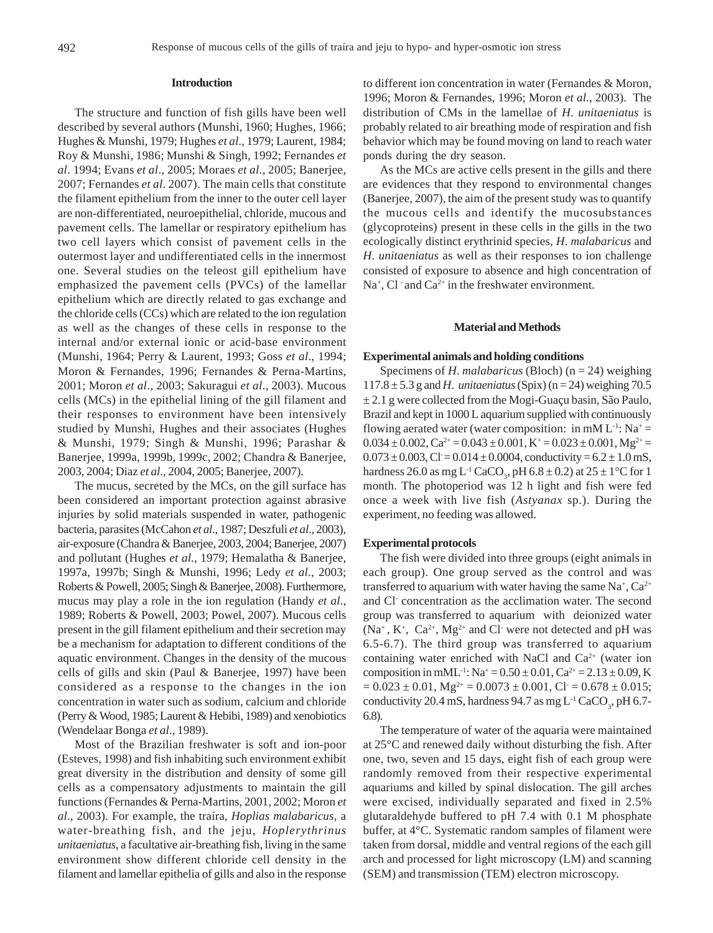# **Introduction**

The structure and function of fish gills have been well described by several authors (Munshi, 1960; Hughes, 1966; Hughes & Munshi, 1979; Hughes *et al*., 1979; Laurent, 1984; Roy & Munshi, 1986; Munshi & Singh, 1992; Fernandes *et al*. 1994; Evans *et al*., 2005; Moraes *et al*., 2005; Banerjee, 2007; Fernandes *et al*. 2007). The main cells that constitute the filament epithelium from the inner to the outer cell layer are non-differentiated, neuroepithelial, chloride, mucous and pavement cells. The lamellar or respiratory epithelium has two cell layers which consist of pavement cells in the outermost layer and undifferentiated cells in the innermost one. Several studies on the teleost gill epithelium have emphasized the pavement cells (PVCs) of the lamellar epithelium which are directly related to gas exchange and the chloride cells (CCs) which are related to the ion regulation as well as the changes of these cells in response to the internal and/or external ionic or acid-base environment (Munshi, 1964; Perry & Laurent, 1993; Goss *et al*., 1994; Moron & Fernandes, 1996; Fernandes & Perna-Martins, 2001; Moron *et al*., 2003; Sakuragui *et al*., 2003). Mucous cells (MCs) in the epithelial lining of the gill filament and their responses to environment have been intensively studied by Munshi, Hughes and their associates (Hughes & Munshi, 1979; Singh & Munshi, 1996; Parashar & Banerjee, 1999a, 1999b, 1999c, 2002; Chandra & Banerjee, 2003, 2004; Diaz *et al*., 2004, 2005; Banerjee, 2007).

The mucus, secreted by the MCs, on the gill surface has been considered an important protection against abrasive injuries by solid materials suspended in water, pathogenic bacteria, parasites (McCahon *et al*., 1987; Deszfuli *et al*., 2003), air-exposure (Chandra & Banerjee, 2003, 2004; Banerjee, 2007) and pollutant (Hughes *et al*., 1979; Hemalatha & Banerjee, 1997a, 1997b; Singh & Munshi, 1996; Ledy *et al*., 2003; Roberts & Powell, 2005; Singh & Banerjee, 2008). Furthermore, mucus may play a role in the ion regulation (Handy *et al*., 1989; Roberts & Powell, 2003; Powel, 2007). Mucous cells present in the gill filament epithelium and their secretion may be a mechanism for adaptation to different conditions of the aquatic environment. Changes in the density of the mucous cells of gills and skin (Paul & Banerjee, 1997) have been considered as a response to the changes in the ion concentration in water such as sodium, calcium and chloride (Perry & Wood, 1985; Laurent & Hebibi, 1989) and xenobiotics (Wendelaar Bonga *et al*., 1989).

Most of the Brazilian freshwater is soft and ion-poor (Esteves, 1998) and fish inhabiting such environment exhibit great diversity in the distribution and density of some gill cells as a compensatory adjustments to maintain the gill functions (Fernandes & Perna-Martins, 2001, 2002; Moron *et al*., 2003). For example, the traíra, *Hoplias malabaricus*, a water-breathing fish, and the jeju, *Hoplerythrinus unitaeniatus*, a facultative air-breathing fish, living in the same environment show different chloride cell density in the filament and lamellar epithelia of gills and also in the response

to different ion concentration in water (Fernandes & Moron, 1996; Moron & Fernandes, 1996; Moron *et al*., 2003). The distribution of CMs in the lamellae of *H*. *unitaeniatus* is probably related to air breathing mode of respiration and fish behavior which may be found moving on land to reach water ponds during the dry season.

As the MCs are active cells present in the gills and there are evidences that they respond to environmental changes (Banerjee, 2007), the aim of the present study was to quantify the mucous cells and identify the mucosubstances (glycoproteins) present in these cells in the gills in the two ecologically distinct erythrinid species, *H*. *malabaricus* and *H*. *unitaeniatus* as well as their responses to ion challenge consisted of exposure to absence and high concentration of  $Na<sup>+</sup>, Cl<sup>-</sup> and Ca<sup>2+</sup> in the freshwater environment.$ 

# **Material and Methods**

#### **Experimental animals and holding conditions**

Specimens of *H*. *malabaricus* (Bloch) (n = 24) weighing  $117.8 \pm 5.3$  g and *H. unitaeniatus* (Spix) (n = 24) weighing 70.5  $\pm$  2.1 g were collected from the Mogi-Guaçu basin, São Paulo, Brazil and kept in 1000 L aquarium supplied with continuously flowing aerated water (water composition: in mM  $L<sup>1</sup>$ : Na<sup>+</sup> =  $0.034 \pm 0.002$ ,  $Ca^{2+} = 0.043 \pm 0.001$ ,  $K^+ = 0.023 \pm 0.001$ ,  $Mg^{2+} =$  $0.073 \pm 0.003$ , Cl =  $0.014 \pm 0.0004$ , conductivity =  $6.2 \pm 1.0$  mS, hardness 26.0 as mg L<sup>-1</sup> CaCO<sub>3</sub>, pH 6.8  $\pm$  0.2) at 25  $\pm$  1°C for 1 month. The photoperiod was 12 h light and fish were fed once a week with live fish (*Astyanax* sp.). During the experiment, no feeding was allowed.

# **Experimental protocols**

The fish were divided into three groups (eight animals in each group). One group served as the control and was transferred to aquarium with water having the same  $Na^+$ ,  $Ca^{2+}$ and Cl- concentration as the acclimation water. The second group was transferred to aquarium with deionized water  $(Na^+, K^+, Ca^{2+}, Mg^{2+}$  and Cl were not detected and pH was 6.5-6.7). The third group was transferred to aquarium containing water enriched with NaCl and  $Ca<sup>2+</sup>$  (water ion composition in mML<sup>1</sup>: Na<sup>+</sup> =  $0.50 \pm 0.01$ , Ca<sup>2+</sup> =  $2.13 \pm 0.09$ , K  $= 0.023 \pm 0.01$ ,  $Mg^{2+} = 0.0073 \pm 0.001$ , Cl = 0.678  $\pm$  0.015; conductivity 20.4 mS, hardness 94.7 as mg  $L^{-1}$  CaCO<sub>3</sub>, pH 6.7-6.8).

The temperature of water of the aquaria were maintained at 25°C and renewed daily without disturbing the fish. After one, two, seven and 15 days, eight fish of each group were randomly removed from their respective experimental aquariums and killed by spinal dislocation. The gill arches were excised, individually separated and fixed in 2.5% glutaraldehyde buffered to pH 7.4 with 0.1 M phosphate buffer, at 4°C. Systematic random samples of filament were taken from dorsal, middle and ventral regions of the each gill arch and processed for light microscopy (LM) and scanning (SEM) and transmission (TEM) electron microscopy.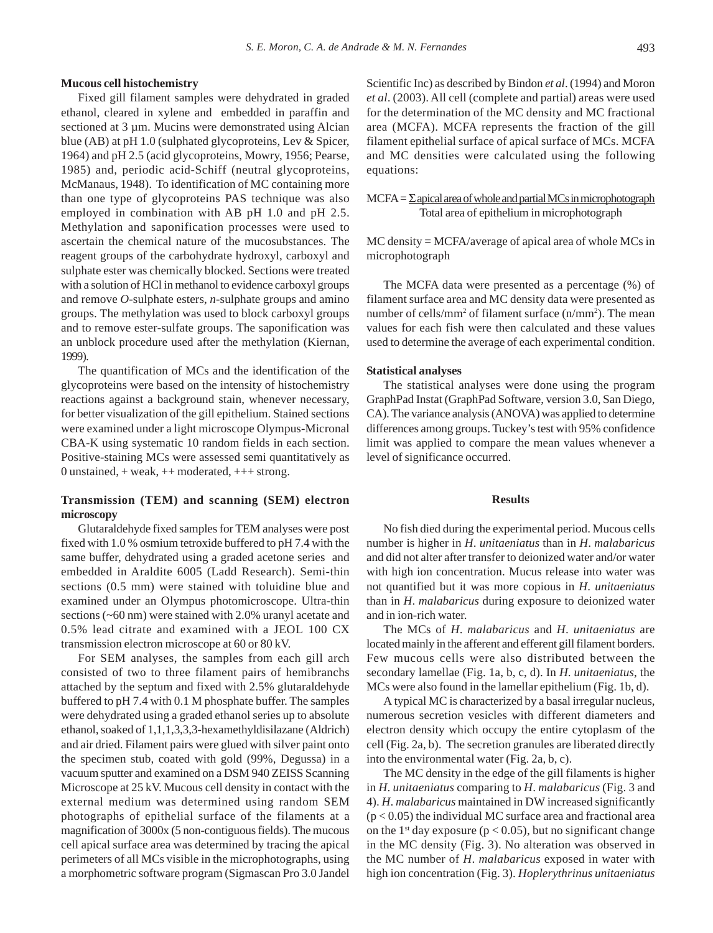# **Mucous cell histochemistry**

Fixed gill filament samples were dehydrated in graded ethanol, cleared in xylene and embedded in paraffin and sectioned at 3 µm. Mucins were demonstrated using Alcian blue (AB) at pH 1.0 (sulphated glycoproteins, Lev & Spicer, 1964) and pH 2.5 (acid glycoproteins, Mowry, 1956; Pearse, 1985) and, periodic acid-Schiff (neutral glycoproteins, McManaus, 1948). To identification of MC containing more than one type of glycoproteins PAS technique was also employed in combination with AB pH 1.0 and pH 2.5. Methylation and saponification processes were used to ascertain the chemical nature of the mucosubstances. The reagent groups of the carbohydrate hydroxyl, carboxyl and sulphate ester was chemically blocked. Sections were treated with a solution of HCl in methanol to evidence carboxyl groups and remove *O*-sulphate esters, *n*-sulphate groups and amino groups. The methylation was used to block carboxyl groups and to remove ester-sulfate groups. The saponification was an unblock procedure used after the methylation (Kiernan, 1999).

The quantification of MCs and the identification of the glycoproteins were based on the intensity of histochemistry reactions against a background stain, whenever necessary, for better visualization of the gill epithelium. Stained sections were examined under a light microscope Olympus-Micronal CBA-K using systematic 10 random fields in each section. Positive-staining MCs were assessed semi quantitatively as 0 unstained,  $+$  weak,  $++$  moderated,  $++$  strong.

# **Transmission (TEM) and scanning (SEM) electron microscopy**

Glutaraldehyde fixed samples for TEM analyses were post fixed with 1.0 % osmium tetroxide buffered to pH 7.4 with the same buffer, dehydrated using a graded acetone series and embedded in Araldite 6005 (Ladd Research). Semi-thin sections (0.5 mm) were stained with toluidine blue and examined under an Olympus photomicroscope. Ultra-thin sections (~60 nm) were stained with 2.0% uranyl acetate and 0.5% lead citrate and examined with a JEOL 100 CX transmission electron microscope at 60 or 80 kV.

For SEM analyses, the samples from each gill arch consisted of two to three filament pairs of hemibranchs attached by the septum and fixed with 2.5% glutaraldehyde buffered to pH 7.4 with 0.1 M phosphate buffer. The samples were dehydrated using a graded ethanol series up to absolute ethanol, soaked of 1,1,1,3,3,3-hexamethyldisilazane (Aldrich) and air dried. Filament pairs were glued with silver paint onto the specimen stub, coated with gold (99%, Degussa) in a vacuum sputter and examined on a DSM 940 ZEISS Scanning Microscope at 25 kV. Mucous cell density in contact with the external medium was determined using random SEM photographs of epithelial surface of the filaments at a magnification of 3000x (5 non-contiguous fields). The mucous cell apical surface area was determined by tracing the apical perimeters of all MCs visible in the microphotographs, using a morphometric software program (Sigmascan Pro 3.0 Jandel Scientific Inc) as described by Bindon *et al*. (1994) and Moron *et al*. (2003). All cell (complete and partial) areas were used for the determination of the MC density and MC fractional area (MCFA). MCFA represents the fraction of the gill filament epithelial surface of apical surface of MCs. MCFA and MC densities were calculated using the following equations:

 $MCFA = \Sigma$  apical area of whole and partial MCs in microphotograph Total area of epithelium in microphotograph

MC density = MCFA/average of apical area of whole MCs in microphotograph

The MCFA data were presented as a percentage (%) of filament surface area and MC density data were presented as number of cells/mm<sup>2</sup> of filament surface (n/mm<sup>2</sup>). The mean values for each fish were then calculated and these values used to determine the average of each experimental condition.

# **Statistical analyses**

The statistical analyses were done using the program GraphPad Instat (GraphPad Software, version 3.0, San Diego, CA). The variance analysis (ANOVA) was applied to determine differences among groups. Tuckey's test with 95% confidence limit was applied to compare the mean values whenever a level of significance occurred.

### **Results**

No fish died during the experimental period. Mucous cells number is higher in *H*. *unitaeniatus* than in *H*. *malabaricus* and did not alter after transfer to deionized water and/or water with high ion concentration. Mucus release into water was not quantified but it was more copious in *H*. *unitaeniatus* than in *H*. *malabaricus* during exposure to deionized water and in ion-rich water.

The MCs of *H*. *malabaricus* and *H*. *unitaeniatus* are located mainly in the afferent and efferent gill filament borders. Few mucous cells were also distributed between the secondary lamellae (Fig. 1a, b, c, d). In *H*. *unitaeniatus*, the MCs were also found in the lamellar epithelium (Fig. 1b, d).

A typical MC is characterized by a basal irregular nucleus, numerous secretion vesicles with different diameters and electron density which occupy the entire cytoplasm of the cell (Fig. 2a, b). The secretion granules are liberated directly into the environmental water (Fig. 2a, b, c).

The MC density in the edge of the gill filaments is higher in *H*. *unitaeniatus* comparing to *H*. *malabaricus* (Fig. 3 and 4). *H*. *malabaricus* maintained in DW increased significantly  $(p < 0.05)$  the individual MC surface area and fractional area on the 1<sup>st</sup> day exposure ( $p < 0.05$ ), but no significant change in the MC density (Fig. 3). No alteration was observed in the MC number of *H*. *malabaricus* exposed in water with high ion concentration (Fig. 3). *Hoplerythrinus unitaeniatus*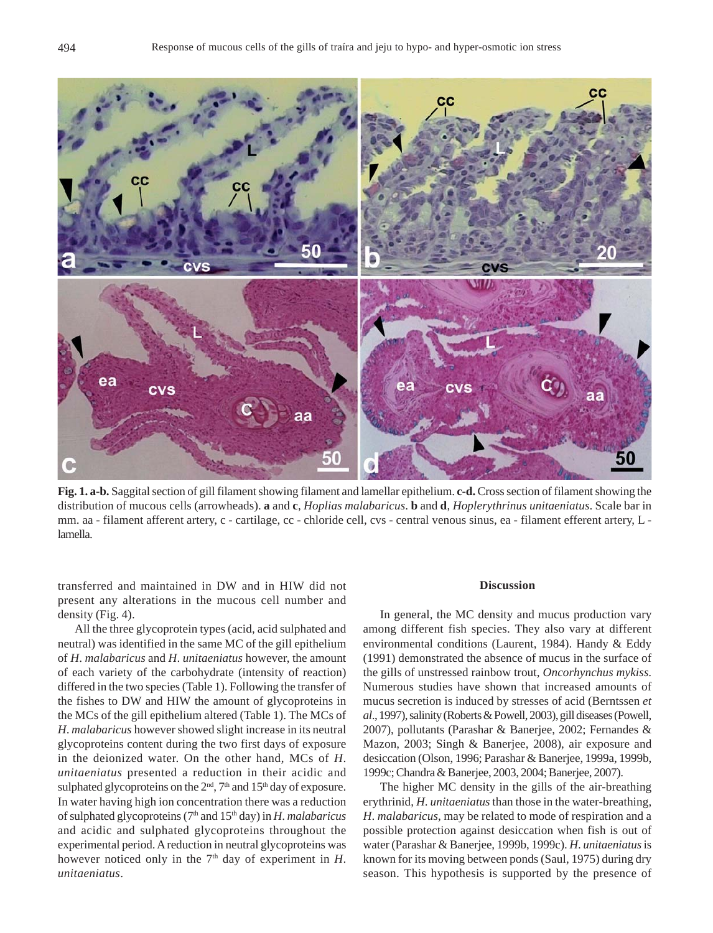

**Fig. 1. a-b.** Saggital section of gill filament showing filament and lamellar epithelium. **c-d.** Cross section of filament showing the distribution of mucous cells (arrowheads). **a** and **c**, *Hoplias malabaricus*. **b** and **d**, *Hoplerythrinus unitaeniatus*. Scale bar in mm. aa - filament afferent artery, c - cartilage, cc - chloride cell, cvs - central venous sinus, ea - filament efferent artery, L lamella.

transferred and maintained in DW and in HIW did not present any alterations in the mucous cell number and density (Fig. 4).

All the three glycoprotein types (acid, acid sulphated and neutral) was identified in the same MC of the gill epithelium of *H*. *malabaricus* and *H*. *unitaeniatus* however, the amount of each variety of the carbohydrate (intensity of reaction) differed in the two species (Table 1). Following the transfer of the fishes to DW and HIW the amount of glycoproteins in the MCs of the gill epithelium altered (Table 1). The MCs of *H*. *malabaricus* however showed slight increase in its neutral glycoproteins content during the two first days of exposure in the deionized water. On the other hand, MCs of *H*. *unitaeniatus* presented a reduction in their acidic and sulphated glycoproteins on the  $2<sup>nd</sup>$ ,  $7<sup>th</sup>$  and  $15<sup>th</sup>$  day of exposure. In water having high ion concentration there was a reduction of sulphated glycoproteins (7th and 15th day) in *H*. *malabaricus* and acidic and sulphated glycoproteins throughout the experimental period. A reduction in neutral glycoproteins was however noticed only in the  $7<sup>th</sup>$  day of experiment in *H*. *unitaeniatus*.

# **Discussion**

In general, the MC density and mucus production vary among different fish species. They also vary at different environmental conditions (Laurent, 1984). Handy & Eddy (1991) demonstrated the absence of mucus in the surface of the gills of unstressed rainbow trout, *Oncorhynchus mykiss*. Numerous studies have shown that increased amounts of mucus secretion is induced by stresses of acid (Berntssen *et al*., 1997), salinity (Roberts & Powell, 2003), gill diseases (Powell, 2007), pollutants (Parashar & Banerjee, 2002; Fernandes & Mazon, 2003; Singh & Banerjee, 2008), air exposure and desiccation (Olson, 1996; Parashar & Banerjee, 1999a, 1999b, 1999c; Chandra & Banerjee, 2003, 2004; Banerjee, 2007).

The higher MC density in the gills of the air-breathing erythrinid, *H*. *unitaeniatus* than those in the water-breathing, *H*. *malabaricus*, may be related to mode of respiration and a possible protection against desiccation when fish is out of water (Parashar & Banerjee, 1999b, 1999c). *H*. *unitaeniatus* is known for its moving between ponds (Saul, 1975) during dry season. This hypothesis is supported by the presence of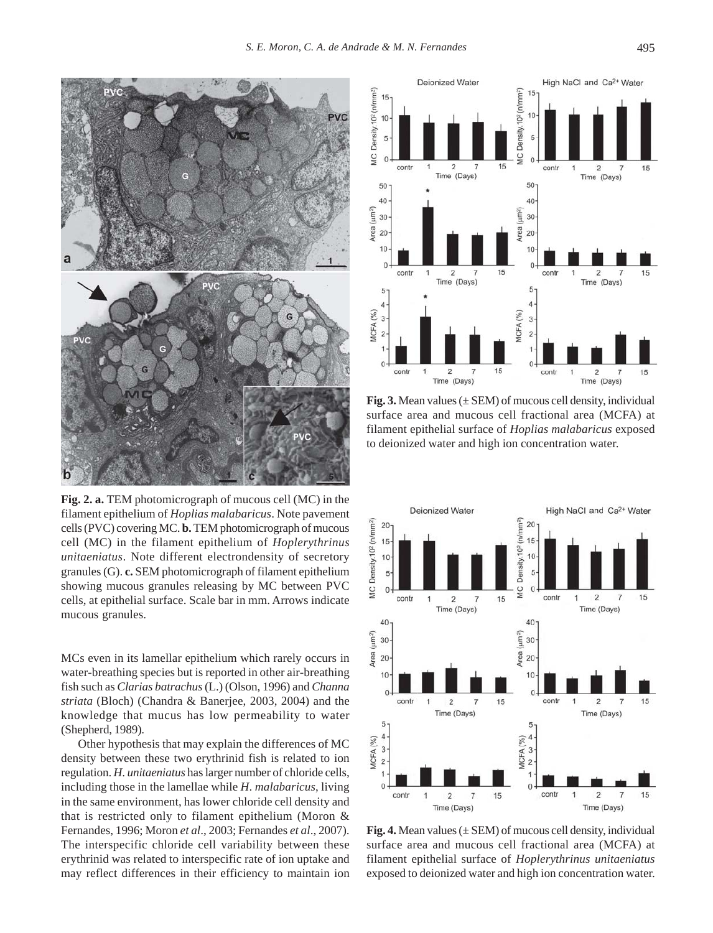

**Fig. 2. a.** TEM photomicrograph of mucous cell (MC) in the filament epithelium of *Hoplias malabaricus*. Note pavement cells (PVC) covering MC. **b.** TEM photomicrograph of mucous cell (MC) in the filament epithelium of *Hoplerythrinus unitaeniatus*. Note different electrondensity of secretory granules (G). **c.** SEM photomicrograph of filament epithelium showing mucous granules releasing by MC between PVC cells, at epithelial surface. Scale bar in mm. Arrows indicate mucous granules.

MCs even in its lamellar epithelium which rarely occurs in water-breathing species but is reported in other air-breathing fish such as *Clarias batrachus* (L.) (Olson, 1996) and *Channa striata* (Bloch) (Chandra & Banerjee, 2003, 2004) and the knowledge that mucus has low permeability to water (Shepherd, 1989).

Other hypothesis that may explain the differences of MC density between these two erythrinid fish is related to ion regulation. *H*. *unitaeniatus* has larger number of chloride cells, including those in the lamellae while *H*. *malabaricus*, living in the same environment, has lower chloride cell density and that is restricted only to filament epithelium (Moron & Fernandes, 1996; Moron *et al*., 2003; Fernandes *et al*., 2007). The interspecific chloride cell variability between these erythrinid was related to interspecific rate of ion uptake and may reflect differences in their efficiency to maintain ion



**Fig. 3.** Mean values (± SEM) of mucous cell density, individual surface area and mucous cell fractional area (MCFA) at filament epithelial surface of *Hoplias malabaricus* exposed to deionized water and high ion concentration water.



**Fig. 4.** Mean values (± SEM) of mucous cell density, individual surface area and mucous cell fractional area (MCFA) at filament epithelial surface of *Hoplerythrinus unitaeniatus* exposed to deionized water and high ion concentration water.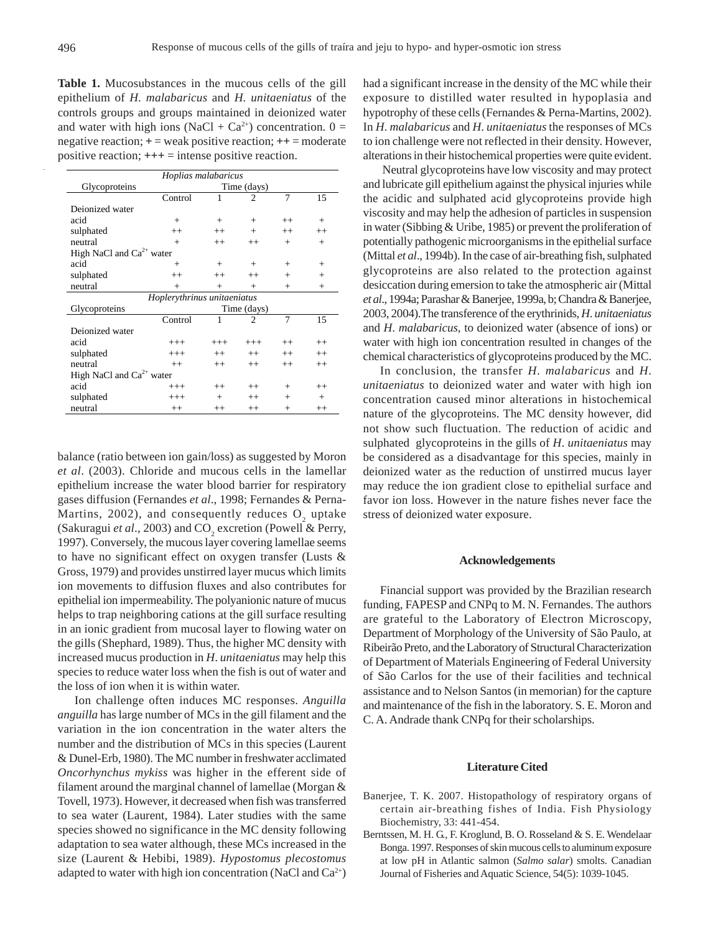**Table 1.** Mucosubstances in the mucous cells of the gill epithelium of *H. malabaricus* and *H. unitaeniatus* of the controls groups and groups maintained in deionized water and water with high ions (NaCl + Ca<sup>2+</sup>) concentration.  $0 =$ negative reaction; **+** = weak positive reaction; **++** = moderate positive reaction;  $++=$  intense positive reaction.

|                               | Hoplias malabaricus         |          |                |         |         |
|-------------------------------|-----------------------------|----------|----------------|---------|---------|
| Glycoproteins                 | Time (days)                 |          |                |         |         |
|                               | Control                     | 1        | $\mathfrak{D}$ | 7       | 15      |
| Deionized water               |                             |          |                |         |         |
| acid                          | $+$                         | $+$      | $^{+}$         | $^{++}$ | $^{+}$  |
| sulphated                     | $^{++}$                     | $^{++}$  | $^{+}$         | $^{++}$ | $^{++}$ |
| neutral                       | $+$                         | $^{++}$  | $^{++}$        | $+$     | $+$     |
| High NaCl and $Ca^{2+}$ water |                             |          |                |         |         |
| acid                          | $^{+}$                      | $^{+}$   | $^{+}$         | $+$     | $^{+}$  |
| sulphated                     | $^{++}$                     | $^{++}$  | $^{++}$        | $+$     | $^{+}$  |
| neutral                       | $^{+}$                      | $^{+}$   | $^{+}$         | $^{+}$  | $^{+}$  |
|                               |                             |          |                |         |         |
|                               | Hoplerythrinus unitaeniatus |          |                |         |         |
| Glycoproteins                 |                             |          | Time (days)    |         |         |
|                               | Control                     | 1        | $\overline{c}$ | 7       | 15      |
| Deionized water               |                             |          |                |         |         |
| acid                          | $+++$                       | $^{+++}$ | $^{+++}$       | $^{++}$ | $^{++}$ |
| sulphated                     | $^{+++}$                    | $^{++}$  | $^{++}$        | $^{++}$ | $^{++}$ |
| neutral                       | $^{++}$                     | $^{++}$  | $^{++}$        | $^{++}$ | $^{++}$ |
| High NaCl and $Ca^{2+}$ water |                             |          |                |         |         |
| acid                          | $^{+++}$                    | $^{++}$  | $^{++}$        | $+$     | $^{++}$ |
| sulphated                     | $^{+++}$                    | $^{+}$   | $^{++}$        | $^{+}$  | $^{+}$  |

balance (ratio between ion gain/loss) as suggested by Moron *et al*. (2003). Chloride and mucous cells in the lamellar epithelium increase the water blood barrier for respiratory gases diffusion (Fernandes *et al*., 1998; Fernandes & Perna-Martins, 2002), and consequently reduces  $O_2$  uptake (Sakuragui *et al.*, 2003) and CO<sub>2</sub> excretion (Powell & Perry, 1997). Conversely, the mucous layer covering lamellae seems to have no significant effect on oxygen transfer (Lusts & Gross, 1979) and provides unstirred layer mucus which limits ion movements to diffusion fluxes and also contributes for epithelial ion impermeability. The polyanionic nature of mucus helps to trap neighboring cations at the gill surface resulting in an ionic gradient from mucosal layer to flowing water on the gills (Shephard, 1989). Thus, the higher MC density with increased mucus production in *H*. *unitaeniatus* may help this species to reduce water loss when the fish is out of water and the loss of ion when it is within water.

Ion challenge often induces MC responses. *Anguilla anguilla* has large number of MCs in the gill filament and the variation in the ion concentration in the water alters the number and the distribution of MCs in this species (Laurent & Dunel-Erb, 1980). The MC number in freshwater acclimated *Oncorhynchus mykiss* was higher in the efferent side of filament around the marginal channel of lamellae (Morgan & Tovell, 1973). However, it decreased when fish was transferred to sea water (Laurent, 1984). Later studies with the same species showed no significance in the MC density following adaptation to sea water although, these MCs increased in the size (Laurent & Hebibi, 1989). *Hypostomus plecostomus* adapted to water with high ion concentration (NaCl and  $Ca^{2+}$ ) had a significant increase in the density of the MC while their exposure to distilled water resulted in hypoplasia and hypotrophy of these cells (Fernandes & Perna-Martins, 2002). In *H*. *malabaricus* and *H*. *unitaeniatus* the responses of MCs to ion challenge were not reflected in their density. However, alterations in their histochemical properties were quite evident.

 Neutral glycoproteins have low viscosity and may protect and lubricate gill epithelium against the physical injuries while the acidic and sulphated acid glycoproteins provide high viscosity and may help the adhesion of particles in suspension in water (Sibbing & Uribe, 1985) or prevent the proliferation of potentially pathogenic microorganisms in the epithelial surface (Mittal *et al*., 1994b). In the case of air-breathing fish, sulphated glycoproteins are also related to the protection against desiccation during emersion to take the atmospheric air (Mittal *et al*., 1994a; Parashar & Banerjee, 1999a, b; Chandra & Banerjee, 2003, 2004).The transference of the erythrinids, *H*. *unitaeniatus* and *H*. *malabaricus*, to deionized water (absence of ions) or water with high ion concentration resulted in changes of the chemical characteristics of glycoproteins produced by the MC.

In conclusion, the transfer *H*. *malabaricus* and *H*. *unitaeniatus* to deionized water and water with high ion concentration caused minor alterations in histochemical nature of the glycoproteins. The MC density however, did not show such fluctuation. The reduction of acidic and sulphated glycoproteins in the gills of *H*. *unitaeniatus* may be considered as a disadvantage for this species, mainly in deionized water as the reduction of unstirred mucus layer may reduce the ion gradient close to epithelial surface and favor ion loss. However in the nature fishes never face the stress of deionized water exposure.

# **Acknowledgements**

Financial support was provided by the Brazilian research funding, FAPESP and CNPq to M. N. Fernandes. The authors are grateful to the Laboratory of Electron Microscopy, Department of Morphology of the University of São Paulo, at Ribeirão Preto, and the Laboratory of Structural Characterization of Department of Materials Engineering of Federal University of São Carlos for the use of their facilities and technical assistance and to Nelson Santos (in memorian) for the capture and maintenance of the fish in the laboratory. S. E. Moron and C. A. Andrade thank CNPq for their scholarships.

#### **Literature Cited**

- Banerjee, T. K. 2007. Histopathology of respiratory organs of certain air-breathing fishes of India. Fish Physiology Biochemistry, 33: 441-454.
- Berntssen, M. H. G., F. Kroglund, B. O. Rosseland & S. E. Wendelaar Bonga. 1997. Responses of skin mucous cells to aluminum exposure at low pH in Atlantic salmon (*Salmo salar*) smolts. Canadian Journal of Fisheries and Aquatic Science, 54(5): 1039-1045.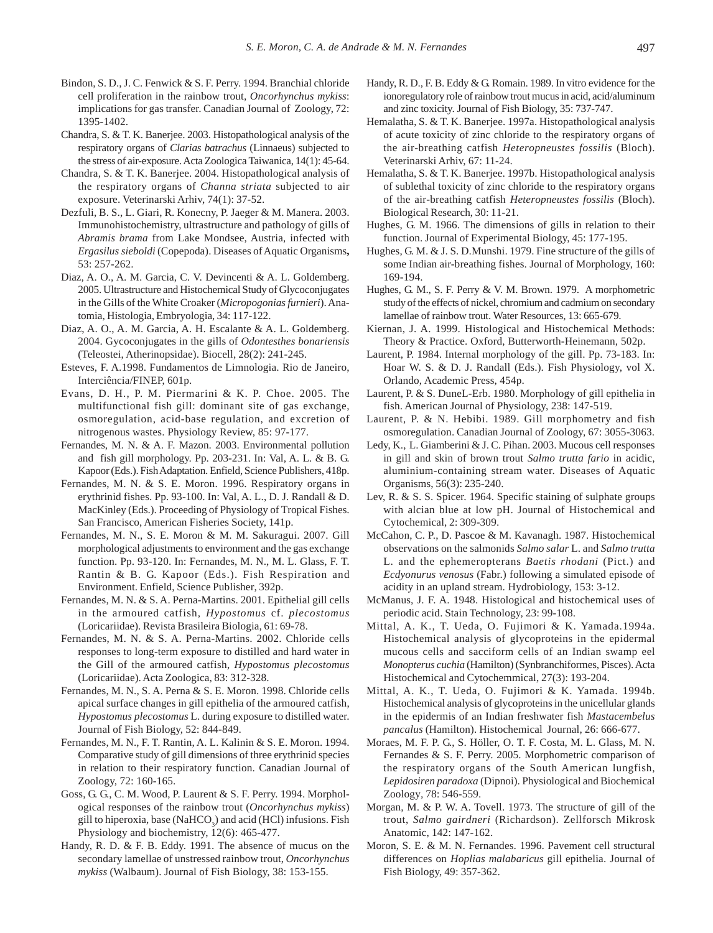- Bindon, S. D., J. C. Fenwick & S. F. Perry. 1994. Branchial chloride cell proliferation in the rainbow trout, *Oncorhynchus mykiss*: implications for gas transfer. Canadian Journal of Zoology, 72: 1395-1402.
- Chandra, S. & T. K. Banerjee. 2003. Histopathological analysis of the respiratory organs of *Clarias batrachus* (Linnaeus) subjected to the stress of air-exposure. Acta Zoologica Taiwanica, 14(1): 45-64.
- Chandra, S. & T. K. Banerjee. 2004. Histopathological analysis of the respiratory organs of *Channa striata* subjected to air exposure. Veterinarski Arhiv, 74(1): 37-52.
- Dezfuli, B. S., L. Giari, R. Konecny, P. Jaeger & M. Manera. 2003. Immunohistochemistry, ultrastructure and pathology of gills of *Abramis brama* from Lake Mondsee, Austria, infected with *Ergasilus sieboldi* (Copepoda). Diseases of Aquatic Organisms**,** 53: 257-262.
- Diaz, A. O., A. M. Garcia, C. V. Devincenti & A. L. Goldemberg. 2005. Ultrastructure and Histochemical Study of Glycoconjugates in the Gills of the White Croaker (*Micropogonias furnieri*). Anatomia, Histologia, Embryologia, 34: 117-122.
- Diaz, A. O., A. M. Garcia, A. H. Escalante & A. L. Goldemberg. 2004. Gycoconjugates in the gills of *Odontesthes bonariensis* (Teleostei, Atherinopsidae). Biocell, 28(2): 241-245.
- Esteves, F. A.1998. Fundamentos de Limnologia. Rio de Janeiro, Interciência/FINEP, 601p.
- Evans, D. H., P. M. Piermarini & K. P. Choe. 2005. The multifunctional fish gill: dominant site of gas exchange, osmoregulation, acid-base regulation, and excretion of nitrogenous wastes. Physiology Review, 85: 97-177.
- Fernandes, M. N. & A. F. Mazon. 2003. Environmental pollution and fish gill morphology. Pp. 203-231. In: Val, A. L. & B. G. Kapoor (Eds.). Fish Adaptation. Enfield, Science Publishers, 418p.
- Fernandes, M. N. & S. E. Moron. 1996. Respiratory organs in erythrinid fishes. Pp. 93-100. In: Val, A. L., D. J. Randall & D. MacKinley (Eds.). Proceeding of Physiology of Tropical Fishes. San Francisco, American Fisheries Society, 141p.
- Fernandes, M. N., S. E. Moron & M. M. Sakuragui. 2007. Gill morphological adjustments to environment and the gas exchange function. Pp. 93-120. In: Fernandes, M. N., M. L. Glass, F. T. Rantin & B. G. Kapoor (Eds.). Fish Respiration and Environment. Enfield, Science Publisher, 392p.
- Fernandes, M. N. & S. A. Perna-Martins. 2001. Epithelial gill cells in the armoured catfish, *Hypostomus* cf. *plecostomus* (Loricariidae). Revista Brasileira Biologia, 61: 69-78.
- Fernandes, M. N. & S. A. Perna-Martins. 2002. Chloride cells responses to long-term exposure to distilled and hard water in the Gill of the armoured catfish, *Hypostomus plecostomus* (Loricariidae). Acta Zoologica, 83: 312-328.
- Fernandes, M. N., S. A. Perna & S. E. Moron. 1998. Chloride cells apical surface changes in gill epithelia of the armoured catfish, *Hypostomus plecostomus* L. during exposure to distilled water. Journal of Fish Biology, 52: 844-849.
- Fernandes, M. N., F. T. Rantin, A. L. Kalinin & S. E. Moron. 1994. Comparative study of gill dimensions of three erythrinid species in relation to their respiratory function. Canadian Journal of Zoology, 72: 160-165.
- Goss, G. G., C. M. Wood, P. Laurent & S. F. Perry. 1994. Morphological responses of the rainbow trout (*Oncorhynchus mykiss*) gill to hiperoxia, base (NaHCO<sub>3</sub>) and acid (HCl) infusions. Fish Physiology and biochemistry, 12(6): 465-477.
- Handy, R. D. & F. B. Eddy. 1991. The absence of mucus on the secondary lamellae of unstressed rainbow trout, *Oncorhynchus mykiss* (Walbaum). Journal of Fish Biology, 38: 153-155.
- Handy, R. D., F. B. Eddy & G. Romain. 1989. In vitro evidence for the ionoregulatory role of rainbow trout mucus in acid, acid/aluminum and zinc toxicity. Journal of Fish Biology, 35: 737-747.
- Hemalatha, S. & T. K. Banerjee. 1997a. Histopathological analysis of acute toxicity of zinc chloride to the respiratory organs of the air-breathing catfish *Heteropneustes fossilis* (Bloch). Veterinarski Arhiv, 67: 11-24.
- Hemalatha, S. & T. K. Banerjee. 1997b. Histopathological analysis of sublethal toxicity of zinc chloride to the respiratory organs of the air-breathing catfish *Heteropneustes fossilis* (Bloch). Biological Research, 30: 11-21.
- Hughes, G. M. 1966. The dimensions of gills in relation to their function. Journal of Experimental Biology, 45: 177-195.
- Hughes, G. M. & J. S. D.Munshi. 1979. Fine structure of the gills of some Indian air-breathing fishes. Journal of Morphology, 160: 169-194.
- Hughes, G. M., S. F. Perry & V. M. Brown. 1979. A morphometric study of the effects of nickel, chromium and cadmium on secondary lamellae of rainbow trout. Water Resources, 13: 665-679.
- Kiernan, J. A. 1999. Histological and Histochemical Methods: Theory & Practice. Oxford, Butterworth-Heinemann, 502p.
- Laurent, P. 1984. Internal morphology of the gill. Pp. 73-183. In: Hoar W. S. & D. J. Randall (Eds.). Fish Physiology, vol X. Orlando, Academic Press, 454p.
- Laurent, P. & S. DuneL-Erb. 1980. Morphology of gill epithelia in fish. American Journal of Physiology, 238: 147-519.
- Laurent, P. & N. Hebibi. 1989. Gill morphometry and fish osmoregulation. Canadian Journal of Zoology, 67: 3055-3063.
- Ledy, K., L. Giamberini & J. C. Pihan. 2003. Mucous cell responses in gill and skin of brown trout *Salmo trutta fario* in acidic, aluminium-containing stream water. Diseases of Aquatic Organisms, 56(3): 235-240.
- Lev, R. & S. S. Spicer. 1964. Specific staining of sulphate groups with alcian blue at low pH. Journal of Histochemical and Cytochemical, 2: 309-309.
- McCahon, C. P., D. Pascoe & M. Kavanagh. 1987. Histochemical observations on the salmonids *Salmo salar* L. and *Salmo trutta* L. and the ephemeropterans *Baetis rhodani* (Pict.) and *Ecdyonurus venosus* (Fabr.) following a simulated episode of acidity in an upland stream. Hydrobiology, 153: 3-12.
- McManus, J. F. A. 1948. Histological and histochemical uses of periodic acid. Stain Technology, 23: 99-108.
- Mittal, A. K., T. Ueda, O. Fujimori & K. Yamada.1994a. Histochemical analysis of glycoproteins in the epidermal mucous cells and sacciform cells of an Indian swamp eel *Monopterus cuchia* (Hamilton) (Synbranchiformes, Pisces). Acta Histochemical and Cytochemmical, 27(3): 193-204.
- Mittal, A. K., T. Ueda, O. Fujimori & K. Yamada. 1994b. Histochemical analysis of glycoproteins in the unicellular glands in the epidermis of an Indian freshwater fish *Mastacembelus pancalus* (Hamilton). Histochemical Journal, 26: 666-677.
- Moraes, M. F. P. G., S. Höller, O. T. F. Costa, M. L. Glass, M. N. Fernandes & S. F. Perry. 2005. Morphometric comparison of the respiratory organs of the South American lungfish, *Lepidosiren paradoxa* (Dipnoi). Physiological and Biochemical Zoology*,* 78: 546-559.
- Morgan, M. & P. W. A. Tovell. 1973. The structure of gill of the trout, *Salmo gairdneri* (Richardson). Zellforsch Mikrosk Anatomic, 142: 147-162.
- Moron, S. E. & M. N. Fernandes. 1996. Pavement cell structural differences on *Hoplias malabaricus* gill epithelia. Journal of Fish Biology, 49: 357-362.